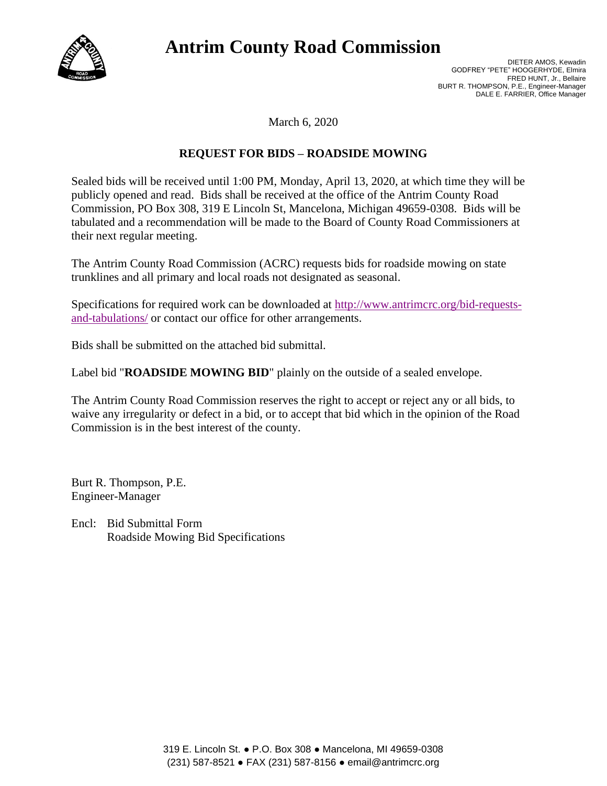

# **Antrim County Road Commission**

DIETER AMOS, Kewadin GODFREY "PETE" HOOGERHYDE, Elmira FRED HUNT, Jr., Bellaire BURT R. THOMPSON, P.E., Engineer-Manager DALE E. FARRIER, Office Manager

March 6, 2020

## **REQUEST FOR BIDS – ROADSIDE MOWING**

Sealed bids will be received until 1:00 PM, Monday, April 13, 2020, at which time they will be publicly opened and read. Bids shall be received at the office of the Antrim County Road Commission, PO Box 308, 319 E Lincoln St, Mancelona, Michigan 49659-0308. Bids will be tabulated and a recommendation will be made to the Board of County Road Commissioners at their next regular meeting.

The Antrim County Road Commission (ACRC) requests bids for roadside mowing on state trunklines and all primary and local roads not designated as seasonal.

Specifications for required work can be downloaded at [http://www.antrimcrc.org/bid-requests](http://www.antrimcrc.org/bid-requests-and-tabulations/)[and-tabulations/](http://www.antrimcrc.org/bid-requests-and-tabulations/) or contact our office for other arrangements.

Bids shall be submitted on the attached bid submittal.

Label bid "**ROADSIDE MOWING BID**" plainly on the outside of a sealed envelope.

The Antrim County Road Commission reserves the right to accept or reject any or all bids, to waive any irregularity or defect in a bid, or to accept that bid which in the opinion of the Road Commission is in the best interest of the county.

Burt R. Thompson, P.E. Engineer-Manager

Encl: Bid Submittal Form Roadside Mowing Bid Specifications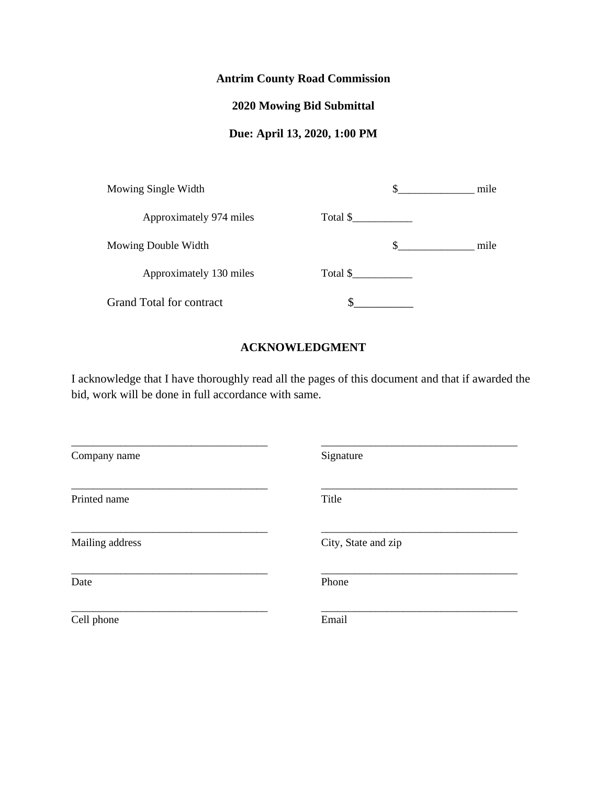# **Antrim County Road Commission**

# **2020 Mowing Bid Submittal**

# **Due: April 13, 2020, 1:00 PM**

| Mowing Single Width             |          | mile |
|---------------------------------|----------|------|
| Approximately 974 miles         | Total \$ |      |
| Mowing Double Width             | S        | mile |
| Approximately 130 miles         | Total \$ |      |
| <b>Grand Total for contract</b> |          |      |

### **ACKNOWLEDGMENT**

I acknowledge that I have thoroughly read all the pages of this document and that if awarded the bid, work will be done in full accordance with same.

| Company name    | Signature           |
|-----------------|---------------------|
| Printed name    | Title               |
| Mailing address | City, State and zip |
| Date            | Phone               |
| Cell phone      | Email               |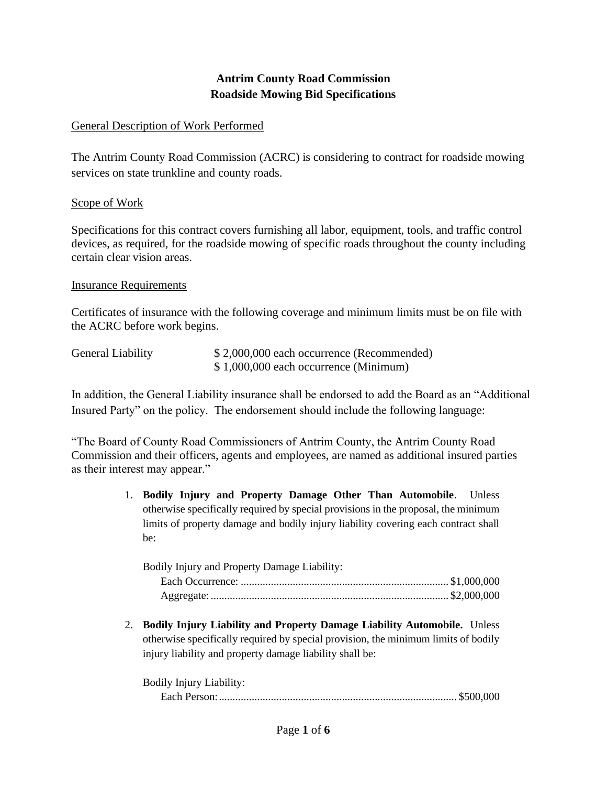# **Antrim County Road Commission Roadside Mowing Bid Specifications**

# General Description of Work Performed

The Antrim County Road Commission (ACRC) is considering to contract for roadside mowing services on state trunkline and county roads.

# Scope of Work

Specifications for this contract covers furnishing all labor, equipment, tools, and traffic control devices, as required, for the roadside mowing of specific roads throughout the county including certain clear vision areas.

## Insurance Requirements

Certificates of insurance with the following coverage and minimum limits must be on file with the ACRC before work begins.

| General Liability | \$2,000,000 each occurrence (Recommended) |
|-------------------|-------------------------------------------|
|                   | $$1,000,000$ each occurrence (Minimum)    |

In addition, the General Liability insurance shall be endorsed to add the Board as an "Additional Insured Party" on the policy. The endorsement should include the following language:

"The Board of County Road Commissioners of Antrim County, the Antrim County Road Commission and their officers, agents and employees, are named as additional insured parties as their interest may appear."

> 1. **Bodily Injury and Property Damage Other Than Automobile**. Unless otherwise specifically required by special provisions in the proposal, the minimum limits of property damage and bodily injury liability covering each contract shall be:

| Bodily Injury and Property Damage Liability: |  |
|----------------------------------------------|--|
|                                              |  |
|                                              |  |

2. **Bodily Injury Liability and Property Damage Liability Automobile.** Unless otherwise specifically required by special provision, the minimum limits of bodily injury liability and property damage liability shall be:

| <b>Bodily Injury Liability:</b> |  |
|---------------------------------|--|
|                                 |  |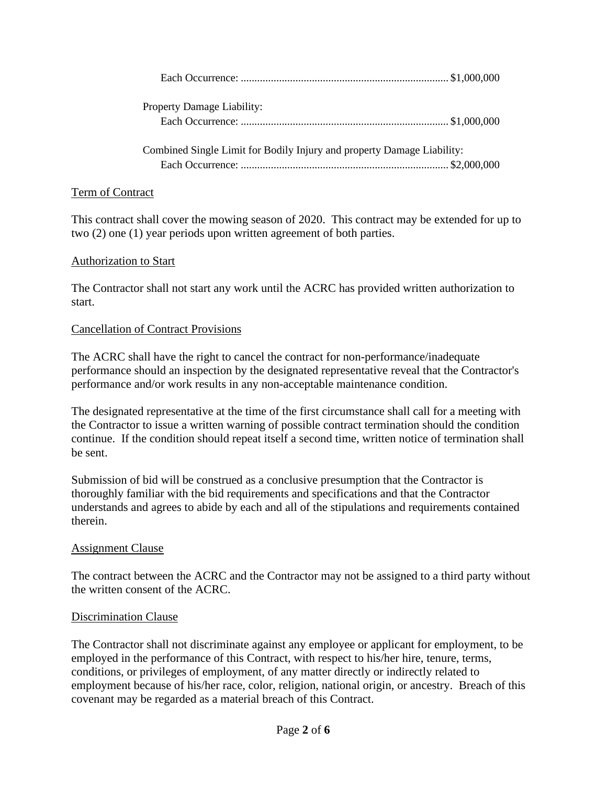| <b>Property Damage Liability:</b>                                      |  |
|------------------------------------------------------------------------|--|
|                                                                        |  |
| Combined Single Limit for Bodily Injury and property Damage Liability: |  |
|                                                                        |  |

## Term of Contract

This contract shall cover the mowing season of 2020. This contract may be extended for up to two (2) one (1) year periods upon written agreement of both parties.

#### Authorization to Start

The Contractor shall not start any work until the ACRC has provided written authorization to start.

#### Cancellation of Contract Provisions

The ACRC shall have the right to cancel the contract for non-performance/inadequate performance should an inspection by the designated representative reveal that the Contractor's performance and/or work results in any non-acceptable maintenance condition.

The designated representative at the time of the first circumstance shall call for a meeting with the Contractor to issue a written warning of possible contract termination should the condition continue. If the condition should repeat itself a second time, written notice of termination shall be sent.

Submission of bid will be construed as a conclusive presumption that the Contractor is thoroughly familiar with the bid requirements and specifications and that the Contractor understands and agrees to abide by each and all of the stipulations and requirements contained therein.

## Assignment Clause

The contract between the ACRC and the Contractor may not be assigned to a third party without the written consent of the ACRC.

## Discrimination Clause

The Contractor shall not discriminate against any employee or applicant for employment, to be employed in the performance of this Contract, with respect to his/her hire, tenure, terms, conditions, or privileges of employment, of any matter directly or indirectly related to employment because of his/her race, color, religion, national origin, or ancestry. Breach of this covenant may be regarded as a material breach of this Contract.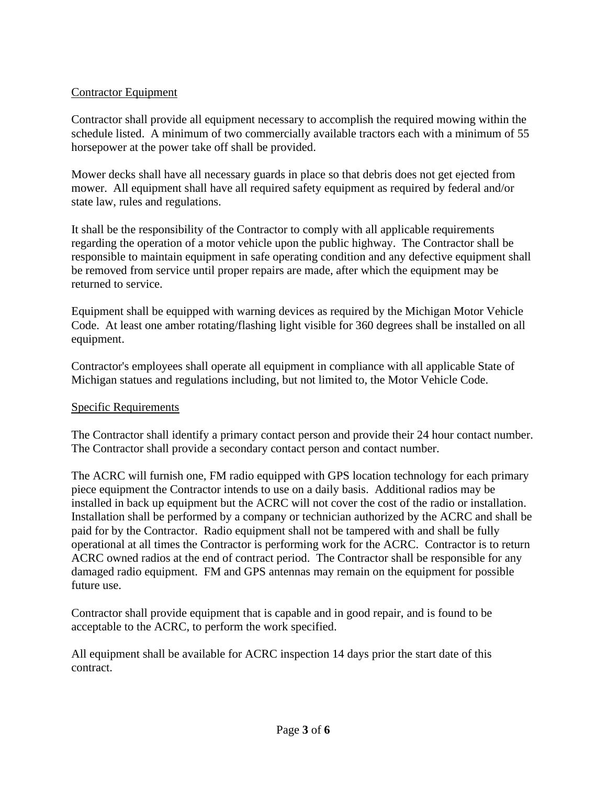# Contractor Equipment

Contractor shall provide all equipment necessary to accomplish the required mowing within the schedule listed. A minimum of two commercially available tractors each with a minimum of 55 horsepower at the power take off shall be provided.

Mower decks shall have all necessary guards in place so that debris does not get ejected from mower. All equipment shall have all required safety equipment as required by federal and/or state law, rules and regulations.

It shall be the responsibility of the Contractor to comply with all applicable requirements regarding the operation of a motor vehicle upon the public highway. The Contractor shall be responsible to maintain equipment in safe operating condition and any defective equipment shall be removed from service until proper repairs are made, after which the equipment may be returned to service.

Equipment shall be equipped with warning devices as required by the Michigan Motor Vehicle Code. At least one amber rotating/flashing light visible for 360 degrees shall be installed on all equipment.

Contractor's employees shall operate all equipment in compliance with all applicable State of Michigan statues and regulations including, but not limited to, the Motor Vehicle Code.

# Specific Requirements

The Contractor shall identify a primary contact person and provide their 24 hour contact number. The Contractor shall provide a secondary contact person and contact number.

The ACRC will furnish one, FM radio equipped with GPS location technology for each primary piece equipment the Contractor intends to use on a daily basis. Additional radios may be installed in back up equipment but the ACRC will not cover the cost of the radio or installation. Installation shall be performed by a company or technician authorized by the ACRC and shall be paid for by the Contractor. Radio equipment shall not be tampered with and shall be fully operational at all times the Contractor is performing work for the ACRC. Contractor is to return ACRC owned radios at the end of contract period. The Contractor shall be responsible for any damaged radio equipment. FM and GPS antennas may remain on the equipment for possible future use.

Contractor shall provide equipment that is capable and in good repair, and is found to be acceptable to the ACRC, to perform the work specified.

All equipment shall be available for ACRC inspection 14 days prior the start date of this contract.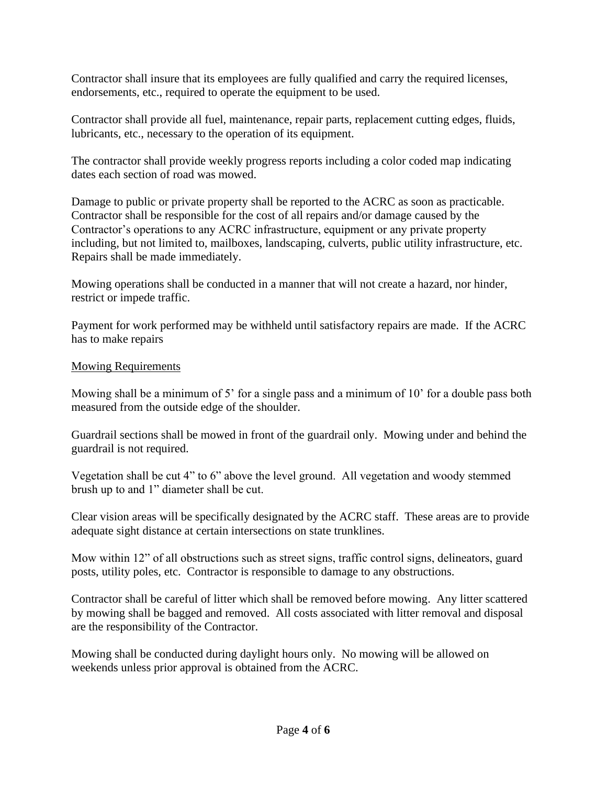Contractor shall insure that its employees are fully qualified and carry the required licenses, endorsements, etc., required to operate the equipment to be used.

Contractor shall provide all fuel, maintenance, repair parts, replacement cutting edges, fluids, lubricants, etc., necessary to the operation of its equipment.

The contractor shall provide weekly progress reports including a color coded map indicating dates each section of road was mowed.

Damage to public or private property shall be reported to the ACRC as soon as practicable. Contractor shall be responsible for the cost of all repairs and/or damage caused by the Contractor's operations to any ACRC infrastructure, equipment or any private property including, but not limited to, mailboxes, landscaping, culverts, public utility infrastructure, etc. Repairs shall be made immediately.

Mowing operations shall be conducted in a manner that will not create a hazard, nor hinder, restrict or impede traffic.

Payment for work performed may be withheld until satisfactory repairs are made. If the ACRC has to make repairs

# Mowing Requirements

Mowing shall be a minimum of 5' for a single pass and a minimum of 10' for a double pass both measured from the outside edge of the shoulder.

Guardrail sections shall be mowed in front of the guardrail only. Mowing under and behind the guardrail is not required.

Vegetation shall be cut 4" to 6" above the level ground. All vegetation and woody stemmed brush up to and 1" diameter shall be cut.

Clear vision areas will be specifically designated by the ACRC staff. These areas are to provide adequate sight distance at certain intersections on state trunklines.

Mow within 12" of all obstructions such as street signs, traffic control signs, delineators, guard posts, utility poles, etc. Contractor is responsible to damage to any obstructions.

Contractor shall be careful of litter which shall be removed before mowing. Any litter scattered by mowing shall be bagged and removed. All costs associated with litter removal and disposal are the responsibility of the Contractor.

Mowing shall be conducted during daylight hours only. No mowing will be allowed on weekends unless prior approval is obtained from the ACRC.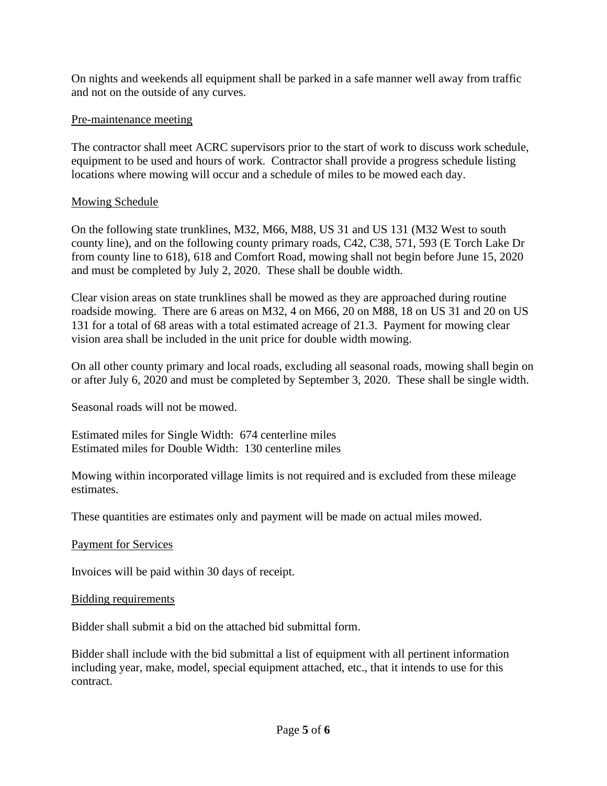On nights and weekends all equipment shall be parked in a safe manner well away from traffic and not on the outside of any curves.

# Pre-maintenance meeting

The contractor shall meet ACRC supervisors prior to the start of work to discuss work schedule, equipment to be used and hours of work. Contractor shall provide a progress schedule listing locations where mowing will occur and a schedule of miles to be mowed each day.

# Mowing Schedule

On the following state trunklines, M32, M66, M88, US 31 and US 131 (M32 West to south county line), and on the following county primary roads, C42, C38, 571, 593 (E Torch Lake Dr from county line to 618), 618 and Comfort Road, mowing shall not begin before June 15, 2020 and must be completed by July 2, 2020. These shall be double width.

Clear vision areas on state trunklines shall be mowed as they are approached during routine roadside mowing. There are 6 areas on M32, 4 on M66, 20 on M88, 18 on US 31 and 20 on US 131 for a total of 68 areas with a total estimated acreage of 21.3. Payment for mowing clear vision area shall be included in the unit price for double width mowing.

On all other county primary and local roads, excluding all seasonal roads, mowing shall begin on or after July 6, 2020 and must be completed by September 3, 2020. These shall be single width.

Seasonal roads will not be mowed.

Estimated miles for Single Width: 674 centerline miles Estimated miles for Double Width: 130 centerline miles

Mowing within incorporated village limits is not required and is excluded from these mileage estimates.

These quantities are estimates only and payment will be made on actual miles mowed.

## Payment for Services

Invoices will be paid within 30 days of receipt.

## Bidding requirements

Bidder shall submit a bid on the attached bid submittal form.

Bidder shall include with the bid submittal a list of equipment with all pertinent information including year, make, model, special equipment attached, etc., that it intends to use for this contract.